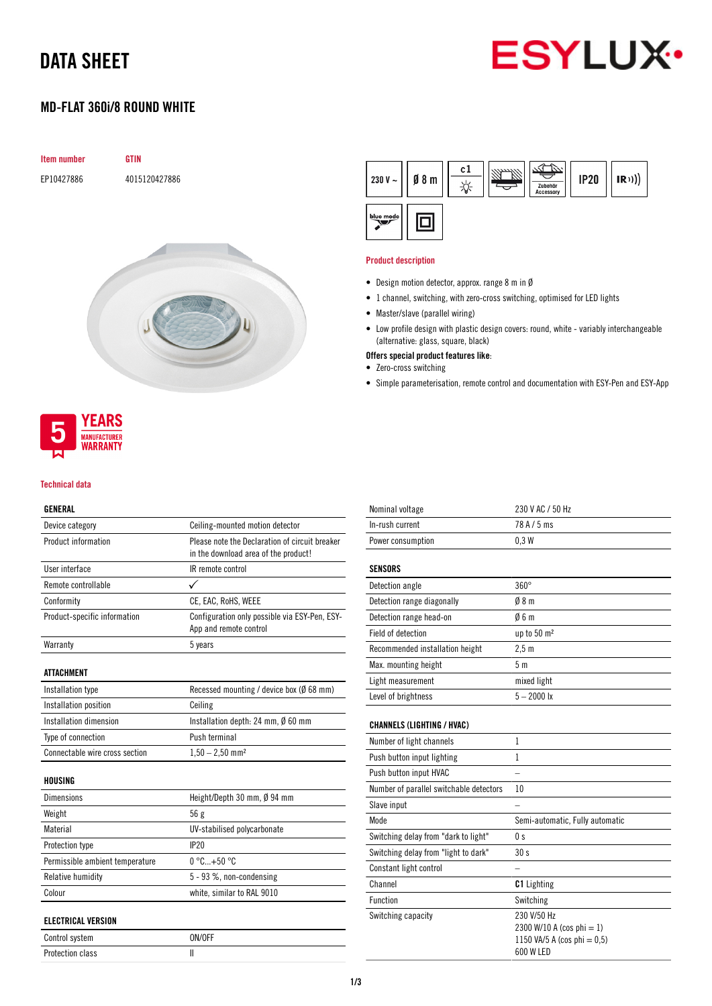# DATA SHEET



## MD-FLAT 360i/8 ROUND WHITE





#### Technical data

### GENERAL

| Device category                 | Ceiling-mounted motion detector                                                        |  |
|---------------------------------|----------------------------------------------------------------------------------------|--|
| Product information             | Please note the Declaration of circuit breaker<br>in the download area of the product! |  |
| User interface                  | IR remote control                                                                      |  |
| Remote controllable             |                                                                                        |  |
| Conformity                      | CE, EAC, RoHS, WEEE                                                                    |  |
| Product-specific information    | Configuration only possible via ESY-Pen, ESY-<br>App and remote control                |  |
| Warranty                        | 5 years                                                                                |  |
| ATTACHMENT                      |                                                                                        |  |
| Installation type               | Recessed mounting / device box (Ø 68 mm)                                               |  |
| Installation position           | Ceiling                                                                                |  |
| Installation dimension          | Installation depth: 24 mm, $\emptyset$ 60 mm                                           |  |
| Type of connection              | Push terminal                                                                          |  |
| Connectable wire cross section  | $1,50 - 2,50$ mm <sup>2</sup>                                                          |  |
| HOUSING                         |                                                                                        |  |
| <b>Dimensions</b>               | Height/Depth 30 mm, Ø 94 mm                                                            |  |
| Weight                          | 56g                                                                                    |  |
| Material                        | UV-stabilised polycarbonate                                                            |  |
| Protection type                 | IP20                                                                                   |  |
| Permissible ambient temperature | $0^{\circ}$ C +50 $^{\circ}$ C                                                         |  |
| Relative humidity               | 5 - 93 %, non-condensing                                                               |  |
| Colour                          | white, similar to RAL 9010                                                             |  |
| <b>ELECTRICAL VERSION</b>       |                                                                                        |  |
|                                 |                                                                                        |  |

| LLLVIIIVAL TLIIVIVII |        |  |
|----------------------|--------|--|
| Control system       | ON/OFF |  |
| Protection class     |        |  |



#### Product description

- Design motion detector, approx. range 8 m in Ø
- 1 channel, switching, with zero-cross switching, optimised for LED lights
- Master/slave (parallel wiring)
- Low profile design with plastic design covers: round, white variably interchangeable (alternative: glass, square, black)
- Offers special product features like:
- Zero-cross switching
- Simple parameterisation, remote control and documentation with ESY-Pen and ESY-App

| 230 V AC / 50 Hz                                                                     |
|--------------------------------------------------------------------------------------|
|                                                                                      |
| 78A/5ms                                                                              |
| 0.3W                                                                                 |
|                                                                                      |
| $360^\circ$                                                                          |
| 08 <sub>m</sub>                                                                      |
| 06 m                                                                                 |
| up to 50 m <sup>2</sup>                                                              |
| 2.5 <sub>m</sub>                                                                     |
| 5 <sub>m</sub>                                                                       |
| mixed light                                                                          |
| $5 - 2000$ lx                                                                        |
|                                                                                      |
| 1                                                                                    |
| 1                                                                                    |
|                                                                                      |
| 10                                                                                   |
|                                                                                      |
| Semi-automatic, Fully automatic                                                      |
| 0 s                                                                                  |
| 30 s                                                                                 |
|                                                                                      |
| <b>C1</b> Lighting                                                                   |
| Switching                                                                            |
| 230 V/50 Hz<br>2300 W/10 A (cos phi = 1)<br>1150 VA/5 A (cos phi = 0,5)<br>600 W LED |
|                                                                                      |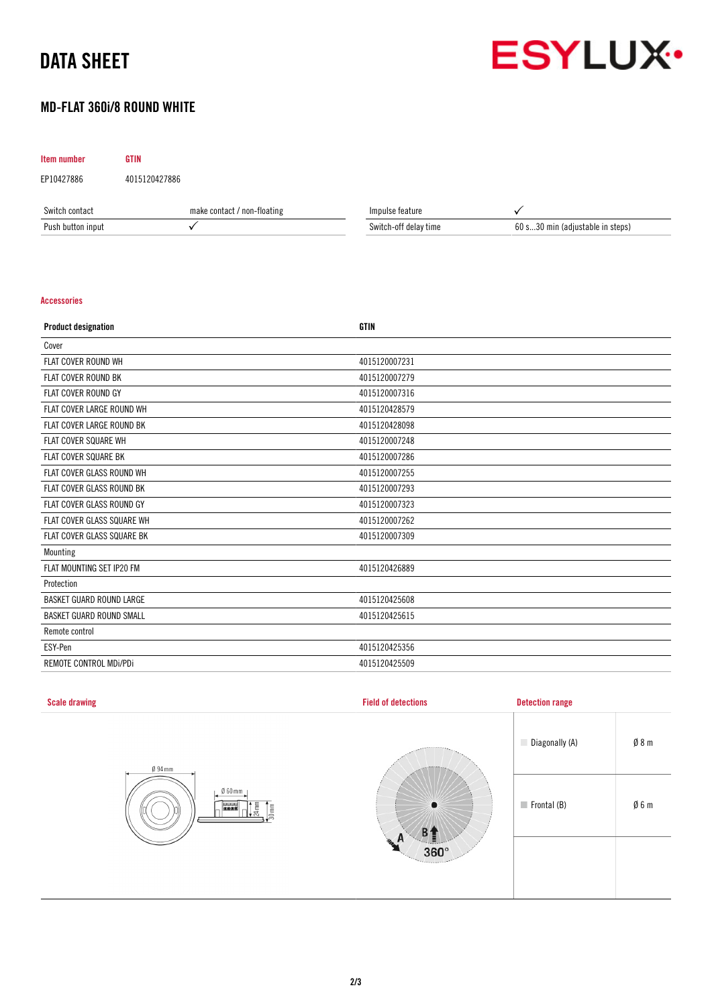# DATA SHEET



## MD-FLAT 360i/8 ROUND WHITE

### Item number GTIN

EP10427886 4015120427886

| Switch<br>⊦contact | mak<br>' non-floating<br>: contact / | Impulse feature            |                                     |
|--------------------|--------------------------------------|----------------------------|-------------------------------------|
| Push button input  |                                      | † delay tıme<br>switch-off | 60 s30 mir<br>(adiustable in steps) |

#### Accessories

| <b>Product designation</b>      | <b>GTIN</b>   |
|---------------------------------|---------------|
| Cover                           |               |
| <b>FLAT COVER ROUND WH</b>      | 4015120007231 |
| <b>FLAT COVER ROUND BK</b>      | 4015120007279 |
| <b>FLAT COVER ROUND GY</b>      | 4015120007316 |
| FLAT COVER LARGE ROUND WH       | 4015120428579 |
| FLAT COVER LARGE ROUND BK       | 4015120428098 |
| <b>FLAT COVER SQUARE WH</b>     | 4015120007248 |
| <b>FLAT COVER SQUARE BK</b>     | 4015120007286 |
| FLAT COVER GLASS ROUND WH       | 4015120007255 |
| FLAT COVER GLASS ROUND BK       | 4015120007293 |
| FLAT COVER GLASS ROUND GY       | 4015120007323 |
| FLAT COVER GLASS SQUARE WH      | 4015120007262 |
| FLAT COVER GLASS SQUARE BK      | 4015120007309 |
| Mounting                        |               |
| FLAT MOUNTING SET IP20 FM       | 4015120426889 |
| Protection                      |               |
| <b>BASKET GUARD ROUND LARGE</b> | 4015120425608 |
| <b>BASKET GUARD ROUND SMALL</b> | 4015120425615 |
| Remote control                  |               |
| ESY-Pen                         | 4015120425356 |
| REMOTE CONTROL MDI/PDI          | 4015120425509 |

| <b>Scale drawing</b>                                                                        | <b>Field of detections</b>   | <b>Detection range</b>     |                 |
|---------------------------------------------------------------------------------------------|------------------------------|----------------------------|-----------------|
| $\emptyset$ 94 mm<br>$\emptyset$ 60 mm<br>$\frac{1}{24}$<br>$rac{1}{30}$ mm<br><b>BELLE</b> | <b>ARRESTER</b><br>$\bullet$ | Diagonally (A)             | $\emptyset$ 8 m |
|                                                                                             |                              | $\blacksquare$ Frontal (B) | $\emptyset$ 6 m |
|                                                                                             | $360^\circ$<br>Territoria    |                            |                 |